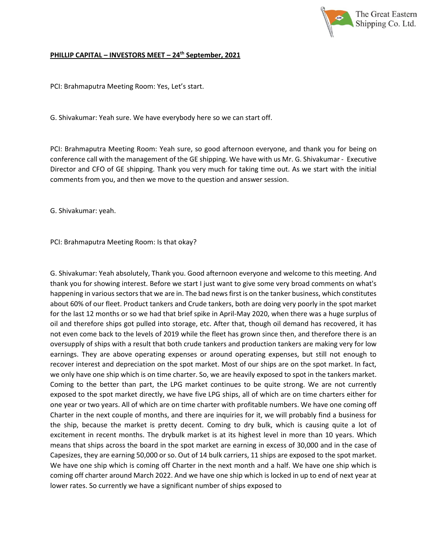

## **PHILLIP CAPITAL – INVESTORS MEET – 24th September, 2021**

PCI: Brahmaputra Meeting Room: Yes, Let's start.

G. Shivakumar: Yeah sure. We have everybody here so we can start off.

PCI: Brahmaputra Meeting Room: Yeah sure, so good afternoon everyone, and thank you for being on conference call with the management of the GE shipping. We have with us Mr. G. Shivakumar - Executive Director and CFO of GE shipping. Thank you very much for taking time out. As we start with the initial comments from you, and then we move to the question and answer session.

G. Shivakumar: yeah.

PCI: Brahmaputra Meeting Room: Is that okay?

G. Shivakumar: Yeah absolutely, Thank you. Good afternoon everyone and welcome to this meeting. And thank you for showing interest. Before we start I just want to give some very broad comments on what's happening in various sectors that we are in. The bad news first is on the tanker business, which constitutes about 60% of our fleet. Product tankers and Crude tankers, both are doing very poorly in the spot market for the last 12 months or so we had that brief spike in April-May 2020, when there was a huge surplus of oil and therefore ships got pulled into storage, etc. After that, though oil demand has recovered, it has not even come back to the levels of 2019 while the fleet has grown since then, and therefore there is an oversupply of ships with a result that both crude tankers and production tankers are making very for low earnings. They are above operating expenses or around operating expenses, but still not enough to recover interest and depreciation on the spot market. Most of our ships are on the spot market. In fact, we only have one ship which is on time charter. So, we are heavily exposed to spot in the tankers market. Coming to the better than part, the LPG market continues to be quite strong. We are not currently exposed to the spot market directly, we have five LPG ships, all of which are on time charters either for one year or two years. All of which are on time charter with profitable numbers. We have one coming off Charter in the next couple of months, and there are inquiries for it, we will probably find a business for the ship, because the market is pretty decent. Coming to dry bulk, which is causing quite a lot of excitement in recent months. The drybulk market is at its highest level in more than 10 years. Which means that ships across the board in the spot market are earning in excess of 30,000 and in the case of Capesizes, they are earning 50,000 or so. Out of 14 bulk carriers, 11 ships are exposed to the spot market. We have one ship which is coming off Charter in the next month and a half. We have one ship which is coming off charter around March 2022. And we have one ship which is locked in up to end of next year at lower rates. So currently we have a significant number of ships exposed to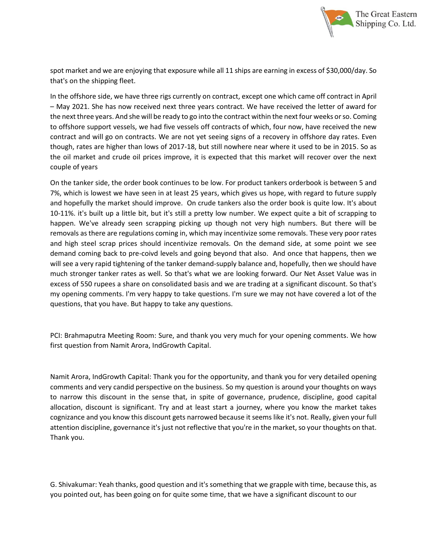

spot market and we are enjoying that exposure while all 11 ships are earning in excess of \$30,000/day. So that's on the shipping fleet.

In the offshore side, we have three rigs currently on contract, except one which came off contract in April – May 2021. She has now received next three years contract. We have received the letter of award for the next three years. And she will be ready to go into the contract within the next four weeks or so. Coming to offshore support vessels, we had five vessels off contracts of which, four now, have received the new contract and will go on contracts. We are not yet seeing signs of a recovery in offshore day rates. Even though, rates are higher than lows of 2017-18, but still nowhere near where it used to be in 2015. So as the oil market and crude oil prices improve, it is expected that this market will recover over the next couple of years

On the tanker side, the order book continues to be low. For product tankers orderbook is between 5 and 7%, which is lowest we have seen in at least 25 years, which gives us hope, with regard to future supply and hopefully the market should improve. On crude tankers also the order book is quite low. It's about 10-11%. it's built up a little bit, but it's still a pretty low number. We expect quite a bit of scrapping to happen. We've already seen scrapping picking up though not very high numbers. But there will be removals as there are regulations coming in, which may incentivize some removals. These very poor rates and high steel scrap prices should incentivize removals. On the demand side, at some point we see demand coming back to pre-coivd levels and going beyond that also. And once that happens, then we will see a very rapid tightening of the tanker demand-supply balance and, hopefully, then we should have much stronger tanker rates as well. So that's what we are looking forward. Our Net Asset Value was in excess of 550 rupees a share on consolidated basis and we are trading at a significant discount. So that's my opening comments. I'm very happy to take questions. I'm sure we may not have covered a lot of the questions, that you have. But happy to take any questions.

PCI: Brahmaputra Meeting Room: Sure, and thank you very much for your opening comments. We how first question from Namit Arora, IndGrowth Capital.

Namit Arora, IndGrowth Capital: Thank you for the opportunity, and thank you for very detailed opening comments and very candid perspective on the business. So my question is around your thoughts on ways to narrow this discount in the sense that, in spite of governance, prudence, discipline, good capital allocation, discount is significant. Try and at least start a journey, where you know the market takes cognizance and you know this discount gets narrowed because it seems like it's not. Really, given your full attention discipline, governance it's just not reflective that you're in the market, so your thoughts on that. Thank you.

G. Shivakumar: Yeah thanks, good question and it's something that we grapple with time, because this, as you pointed out, has been going on for quite some time, that we have a significant discount to our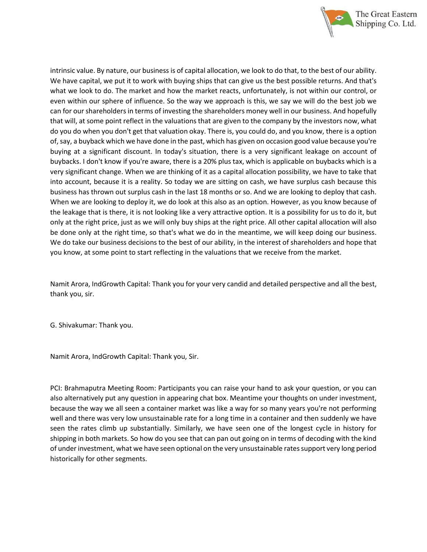

intrinsic value. By nature, our business is of capital allocation, we look to do that, to the best of our ability. We have capital, we put it to work with buying ships that can give us the best possible returns. And that's what we look to do. The market and how the market reacts, unfortunately, is not within our control, or even within our sphere of influence. So the way we approach is this, we say we will do the best job we can for our shareholders in terms of investing the shareholders money well in our business. And hopefully that will, at some point reflect in the valuations that are given to the company by the investors now, what do you do when you don't get that valuation okay. There is, you could do, and you know, there is a option of, say, a buyback which we have done in the past, which has given on occasion good value because you're buying at a significant discount. In today's situation, there is a very significant leakage on account of buybacks. I don't know if you're aware, there is a 20% plus tax, which is applicable on buybacks which is a very significant change. When we are thinking of it as a capital allocation possibility, we have to take that into account, because it is a reality. So today we are sitting on cash, we have surplus cash because this business has thrown out surplus cash in the last 18 months or so. And we are looking to deploy that cash. When we are looking to deploy it, we do look at this also as an option. However, as you know because of the leakage that is there, it is not looking like a very attractive option. It is a possibility for us to do it, but only at the right price, just as we will only buy ships at the right price. All other capital allocation will also be done only at the right time, so that's what we do in the meantime, we will keep doing our business. We do take our business decisions to the best of our ability, in the interest of shareholders and hope that you know, at some point to start reflecting in the valuations that we receive from the market.

Namit Arora, IndGrowth Capital: Thank you for your very candid and detailed perspective and all the best, thank you, sir.

G. Shivakumar: Thank you.

Namit Arora, IndGrowth Capital: Thank you, Sir.

PCI: Brahmaputra Meeting Room: Participants you can raise your hand to ask your question, or you can also alternatively put any question in appearing chat box. Meantime your thoughts on under investment, because the way we all seen a container market was like a way for so many years you're not performing well and there was very low unsustainable rate for a long time in a container and then suddenly we have seen the rates climb up substantially. Similarly, we have seen one of the longest cycle in history for shipping in both markets. So how do you see that can pan out going on in terms of decoding with the kind of under investment, what we have seen optional on the very unsustainable rates support very long period historically for other segments.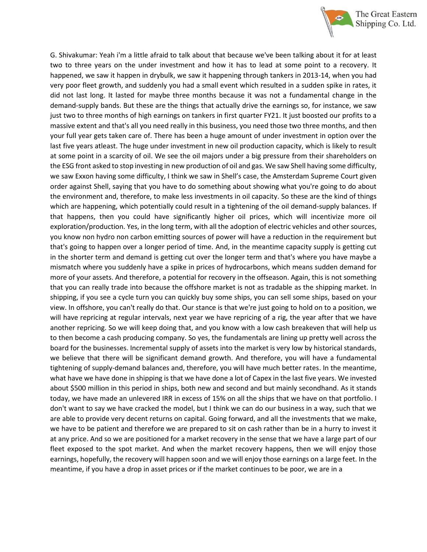

G. Shivakumar: Yeah i'm a little afraid to talk about that because we've been talking about it for at least two to three years on the under investment and how it has to lead at some point to a recovery. It happened, we saw it happen in drybulk, we saw it happening through tankers in 2013-14, when you had very poor fleet growth, and suddenly you had a small event which resulted in a sudden spike in rates, it did not last long. It lasted for maybe three months because it was not a fundamental change in the demand-supply bands. But these are the things that actually drive the earnings so, for instance, we saw just two to three months of high earnings on tankers in first quarter FY21. It just boosted our profits to a massive extent and that's all you need really in this business, you need those two three months, and then your full year gets taken care of. There has been a huge amount of under investment in option over the last five years atleast. The huge under investment in new oil production capacity, which is likely to result at some point in a scarcity of oil. We see the oil majors under a big pressure from their shareholders on the ESG front asked to stop investing in new production of oil and gas. We saw Shell having some difficulty, we saw Exxon having some difficulty, I think we saw in Shell's case, the Amsterdam Supreme Court given order against Shell, saying that you have to do something about showing what you're going to do about the environment and, therefore, to make less investments in oil capacity. So these are the kind of things which are happening, which potentially could result in a tightening of the oil demand-supply balances. If that happens, then you could have significantly higher oil prices, which will incentivize more oil exploration/production. Yes, in the long term, with all the adoption of electric vehicles and other sources, you know non hydro non carbon emitting sources of power will have a reduction in the requirement but that's going to happen over a longer period of time. And, in the meantime capacity supply is getting cut in the shorter term and demand is getting cut over the longer term and that's where you have maybe a mismatch where you suddenly have a spike in prices of hydrocarbons, which means sudden demand for more of your assets. And therefore, a potential for recovery in the offseason. Again, this is not something that you can really trade into because the offshore market is not as tradable as the shipping market. In shipping, if you see a cycle turn you can quickly buy some ships, you can sell some ships, based on your view. In offshore, you can't really do that. Our stance is that we're just going to hold on to a position, we will have repricing at regular intervals, next year we have repricing of a rig, the year after that we have another repricing. So we will keep doing that, and you know with a low cash breakeven that will help us to then become a cash producing company. So yes, the fundamentals are lining up pretty well across the board for the businesses. Incremental supply of assets into the market is very low by historical standards, we believe that there will be significant demand growth. And therefore, you will have a fundamental tightening of supply-demand balances and, therefore, you will have much better rates. In the meantime, what have we have done in shipping is that we have done a lot of Capex in the last five years. We invested about \$500 million in this period in ships, both new and second and but mainly secondhand. As it stands today, we have made an unlevered IRR in excess of 15% on all the ships that we have on that portfolio. I don't want to say we have cracked the model, but I think we can do our business in a way, such that we are able to provide very decent returns on capital. Going forward, and all the investments that we make, we have to be patient and therefore we are prepared to sit on cash rather than be in a hurry to invest it at any price. And so we are positioned for a market recovery in the sense that we have a large part of our fleet exposed to the spot market. And when the market recovery happens, then we will enjoy those earnings, hopefully, the recovery will happen soon and we will enjoy those earnings on a large feet. In the meantime, if you have a drop in asset prices or if the market continues to be poor, we are in a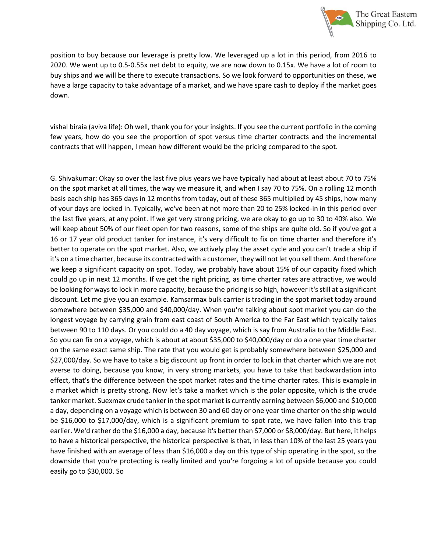

position to buy because our leverage is pretty low. We leveraged up a lot in this period, from 2016 to 2020. We went up to 0.5-0.55x net debt to equity, we are now down to 0.15x. We have a lot of room to buy ships and we will be there to execute transactions. So we look forward to opportunities on these, we have a large capacity to take advantage of a market, and we have spare cash to deploy if the market goes down.

vishal biraia (aviva life): Oh well, thank you for your insights. If you see the current portfolio in the coming few years, how do you see the proportion of spot versus time charter contracts and the incremental contracts that will happen, I mean how different would be the pricing compared to the spot.

G. Shivakumar: Okay so over the last five plus years we have typically had about at least about 70 to 75% on the spot market at all times, the way we measure it, and when I say 70 to 75%. On a rolling 12 month basis each ship has 365 days in 12 months from today, out of these 365 multiplied by 45 ships, how many of your days are locked in. Typically, we've been at not more than 20 to 25% locked-in in this period over the last five years, at any point. If we get very strong pricing, we are okay to go up to 30 to 40% also. We will keep about 50% of our fleet open for two reasons, some of the ships are quite old. So if you've got a 16 or 17 year old product tanker for instance, it's very difficult to fix on time charter and therefore it's better to operate on the spot market. Also, we actively play the asset cycle and you can't trade a ship if it's on a time charter, because its contracted with a customer, they will not let you sell them. And therefore we keep a significant capacity on spot. Today, we probably have about 15% of our capacity fixed which could go up in next 12 months. If we get the right pricing, as time charter rates are attractive, we would be looking for ways to lock in more capacity, because the pricing is so high, however it's still at a significant discount. Let me give you an example. Kamsarmax bulk carrier is trading in the spot market today around somewhere between \$35,000 and \$40,000/day. When you're talking about spot market you can do the longest voyage by carrying grain from east coast of South America to the Far East which typically takes between 90 to 110 days. Or you could do a 40 day voyage, which is say from Australia to the Middle East. So you can fix on a voyage, which is about at about \$35,000 to \$40,000/day or do a one year time charter on the same exact same ship. The rate that you would get is probably somewhere between \$25,000 and \$27,000/day. So we have to take a big discount up front in order to lock in that charter which we are not averse to doing, because you know, in very strong markets, you have to take that backwardation into effect, that's the difference between the spot market rates and the time charter rates. This is example in a market which is pretty strong. Now let's take a market which is the polar opposite, which is the crude tanker market. Suexmax crude tanker in the spot market is currently earning between \$6,000 and \$10,000 a day, depending on a voyage which is between 30 and 60 day or one year time charter on the ship would be \$16,000 to \$17,000/day, which is a significant premium to spot rate, we have fallen into this trap earlier. We'd rather do the \$16,000 a day, because it's better than \$7,000 or \$8,000/day. But here, it helps to have a historical perspective, the historical perspective is that, in less than 10% of the last 25 years you have finished with an average of less than \$16,000 a day on this type of ship operating in the spot, so the downside that you're protecting is really limited and you're forgoing a lot of upside because you could easily go to \$30,000. So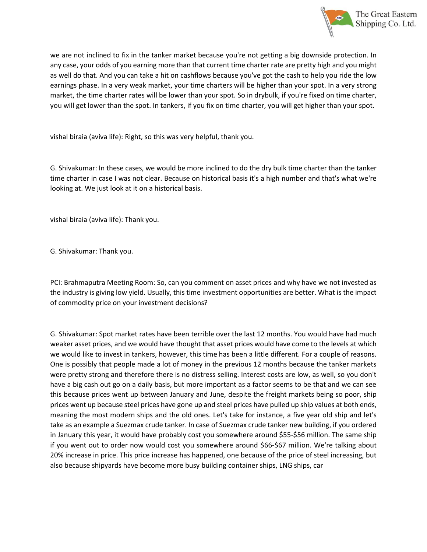

we are not inclined to fix in the tanker market because you're not getting a big downside protection. In any case, your odds of you earning more than that current time charter rate are pretty high and you might as well do that. And you can take a hit on cashflows because you've got the cash to help you ride the low earnings phase. In a very weak market, your time charters will be higher than your spot. In a very strong market, the time charter rates will be lower than your spot. So in drybulk, if you're fixed on time charter, you will get lower than the spot. In tankers, if you fix on time charter, you will get higher than your spot.

vishal biraia (aviva life): Right, so this was very helpful, thank you.

G. Shivakumar: In these cases, we would be more inclined to do the dry bulk time charter than the tanker time charter in case I was not clear. Because on historical basis it's a high number and that's what we're looking at. We just look at it on a historical basis.

vishal biraia (aviva life): Thank you.

G. Shivakumar: Thank you.

PCI: Brahmaputra Meeting Room: So, can you comment on asset prices and why have we not invested as the industry is giving low yield. Usually, this time investment opportunities are better. What is the impact of commodity price on your investment decisions?

G. Shivakumar: Spot market rates have been terrible over the last 12 months. You would have had much weaker asset prices, and we would have thought that asset prices would have come to the levels at which we would like to invest in tankers, however, this time has been a little different. For a couple of reasons. One is possibly that people made a lot of money in the previous 12 months because the tanker markets were pretty strong and therefore there is no distress selling. Interest costs are low, as well, so you don't have a big cash out go on a daily basis, but more important as a factor seems to be that and we can see this because prices went up between January and June, despite the freight markets being so poor, ship prices went up because steel prices have gone up and steel prices have pulled up ship values at both ends, meaning the most modern ships and the old ones. Let's take for instance, a five year old ship and let's take as an example a Suezmax crude tanker. In case of Suezmax crude tanker new building, if you ordered in January this year, it would have probably cost you somewhere around \$55-\$56 million. The same ship if you went out to order now would cost you somewhere around \$66-\$67 million. We're talking about 20% increase in price. This price increase has happened, one because of the price of steel increasing, but also because shipyards have become more busy building container ships, LNG ships, car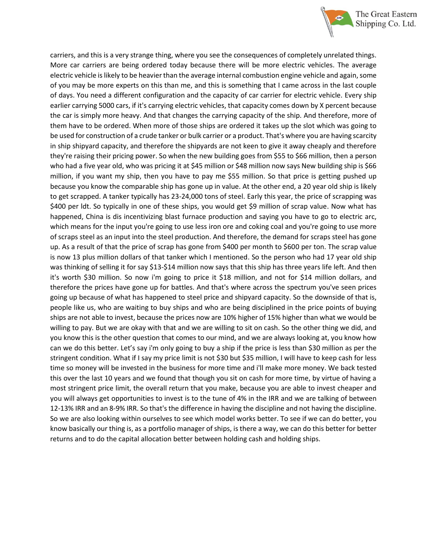

carriers, and this is a very strange thing, where you see the consequences of completely unrelated things. More car carriers are being ordered today because there will be more electric vehicles. The average electric vehicle is likely to be heavier than the average internal combustion engine vehicle and again, some of you may be more experts on this than me, and this is something that I came across in the last couple of days. You need a different configuration and the capacity of car carrier for electric vehicle. Every ship earlier carrying 5000 cars, if it's carrying electric vehicles, that capacity comes down by X percent because the car is simply more heavy. And that changes the carrying capacity of the ship. And therefore, more of them have to be ordered. When more of those ships are ordered it takes up the slot which was going to be used for construction of a crude tanker or bulk carrier or a product. That's where you are having scarcity in ship shipyard capacity, and therefore the shipyards are not keen to give it away cheaply and therefore they're raising their pricing power. So when the new building goes from \$55 to \$66 million, then a person who had a five year old, who was pricing it at \$45 million or \$48 million now says New building ship is \$66 million, if you want my ship, then you have to pay me \$55 million. So that price is getting pushed up because you know the comparable ship has gone up in value. At the other end, a 20 year old ship is likely to get scrapped. A tanker typically has 23-24,000 tons of steel. Early this year, the price of scrapping was \$400 per ldt. So typically in one of these ships, you would get \$9 million of scrap value. Now what has happened, China is dis incentivizing blast furnace production and saying you have to go to electric arc, which means for the input you're going to use less iron ore and coking coal and you're going to use more of scraps steel as an input into the steel production. And therefore, the demand for scraps steel has gone up. As a result of that the price of scrap has gone from \$400 per month to \$600 per ton. The scrap value is now 13 plus million dollars of that tanker which I mentioned. So the person who had 17 year old ship was thinking of selling it for say \$13-\$14 million now says that this ship has three years life left. And then it's worth \$30 million. So now i'm going to price it \$18 million, and not for \$14 million dollars, and therefore the prices have gone up for battles. And that's where across the spectrum you've seen prices going up because of what has happened to steel price and shipyard capacity. So the downside of that is, people like us, who are waiting to buy ships and who are being disciplined in the price points of buying ships are not able to invest, because the prices now are 10% higher of 15% higher than what we would be willing to pay. But we are okay with that and we are willing to sit on cash. So the other thing we did, and you know this is the other question that comes to our mind, and we are always looking at, you know how can we do this better. Let's say i'm only going to buy a ship if the price is less than \$30 million as per the stringent condition. What if I say my price limit is not \$30 but \$35 million, I will have to keep cash for less time so money will be invested in the business for more time and i'll make more money. We back tested this over the last 10 years and we found that though you sit on cash for more time, by virtue of having a most stringent price limit, the overall return that you make, because you are able to invest cheaper and you will always get opportunities to invest is to the tune of 4% in the IRR and we are talking of between 12-13% IRR and an 8-9% IRR. So that's the difference in having the discipline and not having the discipline. So we are also looking within ourselves to see which model works better. To see if we can do better, you know basically our thing is, as a portfolio manager of ships, is there a way, we can do this better for better returns and to do the capital allocation better between holding cash and holding ships.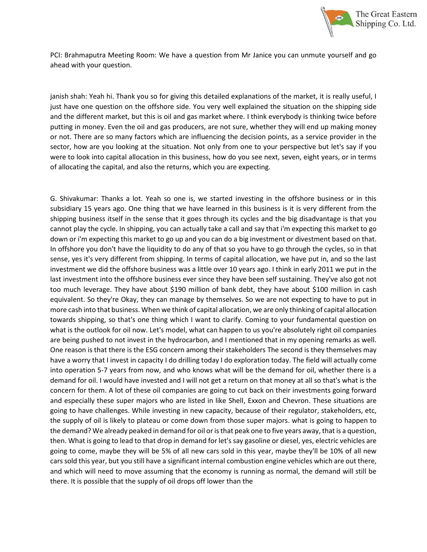

PCI: Brahmaputra Meeting Room: We have a question from Mr Janice you can unmute yourself and go ahead with your question.

janish shah: Yeah hi. Thank you so for giving this detailed explanations of the market, it is really useful, I just have one question on the offshore side. You very well explained the situation on the shipping side and the different market, but this is oil and gas market where. I think everybody is thinking twice before putting in money. Even the oil and gas producers, are not sure, whether they will end up making money or not. There are so many factors which are influencing the decision points, as a service provider in the sector, how are you looking at the situation. Not only from one to your perspective but let's say if you were to look into capital allocation in this business, how do you see next, seven, eight years, or in terms of allocating the capital, and also the returns, which you are expecting.

G. Shivakumar: Thanks a lot. Yeah so one is, we started investing in the offshore business or in this subsidiary 15 years ago. One thing that we have learned in this business is it is very different from the shipping business itself in the sense that it goes through its cycles and the big disadvantage is that you cannot play the cycle. In shipping, you can actually take a call and say that i'm expecting this market to go down or i'm expecting this market to go up and you can do a big investment or divestment based on that. In offshore you don't have the liquidity to do any of that so you have to go through the cycles, so in that sense, yes it's very different from shipping. In terms of capital allocation, we have put in, and so the last investment we did the offshore business was a little over 10 years ago. I think in early 2011 we put in the last investment into the offshore business ever since they have been self sustaining. They've also got not too much leverage. They have about \$190 million of bank debt, they have about \$100 million in cash equivalent. So they're Okay, they can manage by themselves. So we are not expecting to have to put in more cash into that business. When we think of capital allocation, we are only thinking of capital allocation towards shipping, so that's one thing which I want to clarify. Coming to your fundamental question on what is the outlook for oil now. Let's model, what can happen to us you're absolutely right oil companies are being pushed to not invest in the hydrocarbon, and I mentioned that in my opening remarks as well. One reason is that there is the ESG concern among their stakeholders The second is they themselves may have a worry that I invest in capacity I do drilling today I do exploration today. The field will actually come into operation 5-7 years from now, and who knows what will be the demand for oil, whether there is a demand for oil. I would have invested and I will not get a return on that money at all so that's what is the concern for them. A lot of these oil companies are going to cut back on their investments going forward and especially these super majors who are listed in like Shell, Exxon and Chevron. These situations are going to have challenges. While investing in new capacity, because of their regulator, stakeholders, etc, the supply of oil is likely to plateau or come down from those super majors. what is going to happen to the demand? We already peaked in demand for oil or is that peak one to five years away, that is a question, then. What is going to lead to that drop in demand for let's say gasoline or diesel, yes, electric vehicles are going to come, maybe they will be 5% of all new cars sold in this year, maybe they'll be 10% of all new cars sold this year, but you still have a significant internal combustion engine vehicles which are out there, and which will need to move assuming that the economy is running as normal, the demand will still be there. It is possible that the supply of oil drops off lower than the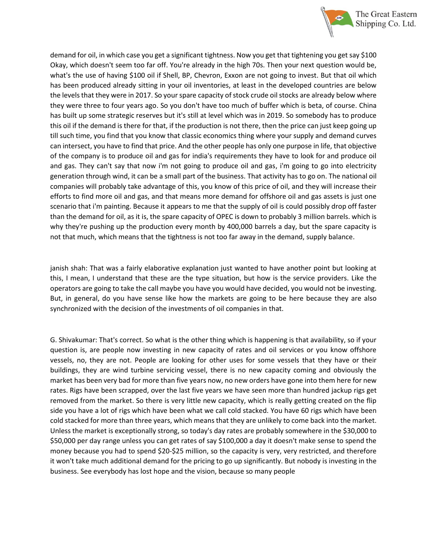

demand for oil, in which case you get a significant tightness. Now you get that tightening you get say \$100 Okay, which doesn't seem too far off. You're already in the high 70s. Then your next question would be, what's the use of having \$100 oil if Shell, BP, Chevron, Exxon are not going to invest. But that oil which has been produced already sitting in your oil inventories, at least in the developed countries are below the levels that they were in 2017. So your spare capacity of stock crude oil stocks are already below where they were three to four years ago. So you don't have too much of buffer which is beta, of course. China has built up some strategic reserves but it's still at level which was in 2019. So somebody has to produce this oil if the demand is there for that, if the production is not there, then the price can just keep going up till such time, you find that you know that classic economics thing where your supply and demand curves can intersect, you have to find that price. And the other people has only one purpose in life, that objective of the company is to produce oil and gas for india's requirements they have to look for and produce oil and gas. They can't say that now i'm not going to produce oil and gas, i'm going to go into electricity generation through wind, it can be a small part of the business. That activity has to go on. The national oil companies will probably take advantage of this, you know of this price of oil, and they will increase their efforts to find more oil and gas, and that means more demand for offshore oil and gas assets is just one scenario that i'm painting. Because it appears to me that the supply of oil is could possibly drop off faster than the demand for oil, as it is, the spare capacity of OPEC is down to probably 3 million barrels. which is why they're pushing up the production every month by 400,000 barrels a day, but the spare capacity is not that much, which means that the tightness is not too far away in the demand, supply balance.

janish shah: That was a fairly elaborative explanation just wanted to have another point but looking at this, I mean, I understand that these are the type situation, but how is the service providers. Like the operators are going to take the call maybe you have you would have decided, you would not be investing. But, in general, do you have sense like how the markets are going to be here because they are also synchronized with the decision of the investments of oil companies in that.

G. Shivakumar: That's correct. So what is the other thing which is happening is that availability, so if your question is, are people now investing in new capacity of rates and oil services or you know offshore vessels, no, they are not. People are looking for other uses for some vessels that they have or their buildings, they are wind turbine servicing vessel, there is no new capacity coming and obviously the market has been very bad for more than five years now, no new orders have gone into them here for new rates. Rigs have been scrapped, over the last five years we have seen more than hundred jackup rigs get removed from the market. So there is very little new capacity, which is really getting created on the flip side you have a lot of rigs which have been what we call cold stacked. You have 60 rigs which have been cold stacked for more than three years, which means that they are unlikely to come back into the market. Unless the market is exceptionally strong, so today's day rates are probably somewhere in the \$30,000 to \$50,000 per day range unless you can get rates of say \$100,000 a day it doesn't make sense to spend the money because you had to spend \$20-\$25 million, so the capacity is very, very restricted, and therefore it won't take much additional demand for the pricing to go up significantly. But nobody is investing in the business. See everybody has lost hope and the vision, because so many people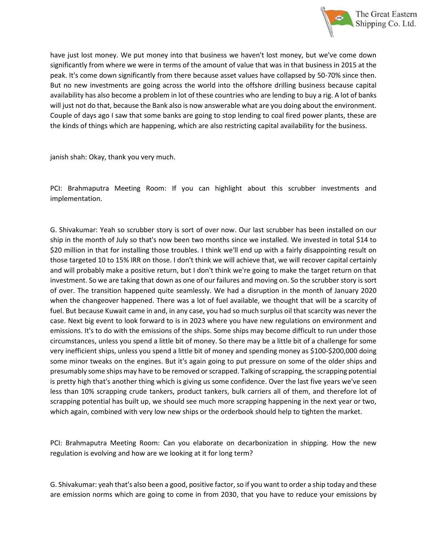

have just lost money. We put money into that business we haven't lost money, but we've come down significantly from where we were in terms of the amount of value that was in that business in 2015 at the peak. It's come down significantly from there because asset values have collapsed by 50-70% since then. But no new investments are going across the world into the offshore drilling business because capital availability has also become a problem in lot of these countries who are lending to buy a rig. A lot of banks will just not do that, because the Bank also is now answerable what are you doing about the environment. Couple of days ago I saw that some banks are going to stop lending to coal fired power plants, these are the kinds of things which are happening, which are also restricting capital availability for the business.

janish shah: Okay, thank you very much.

PCI: Brahmaputra Meeting Room: If you can highlight about this scrubber investments and implementation.

G. Shivakumar: Yeah so scrubber story is sort of over now. Our last scrubber has been installed on our ship in the month of July so that's now been two months since we installed. We invested in total \$14 to \$20 million in that for installing those troubles. I think we'll end up with a fairly disappointing result on those targeted 10 to 15% IRR on those. I don't think we will achieve that, we will recover capital certainly and will probably make a positive return, but I don't think we're going to make the target return on that investment. So we are taking that down as one of our failures and moving on. So the scrubber story is sort of over. The transition happened quite seamlessly. We had a disruption in the month of January 2020 when the changeover happened. There was a lot of fuel available, we thought that will be a scarcity of fuel. But because Kuwait came in and, in any case, you had so much surplus oil that scarcity was never the case. Next big event to look forward to is in 2023 where you have new regulations on environment and emissions. It's to do with the emissions of the ships. Some ships may become difficult to run under those circumstances, unless you spend a little bit of money. So there may be a little bit of a challenge for some very inefficient ships, unless you spend a little bit of money and spending money as \$100-\$200,000 doing some minor tweaks on the engines. But it's again going to put pressure on some of the older ships and presumably some ships may have to be removed or scrapped. Talking of scrapping, the scrapping potential is pretty high that's another thing which is giving us some confidence. Over the last five years we've seen less than 10% scrapping crude tankers, product tankers, bulk carriers all of them, and therefore lot of scrapping potential has built up, we should see much more scrapping happening in the next year or two, which again, combined with very low new ships or the orderbook should help to tighten the market.

PCI: Brahmaputra Meeting Room: Can you elaborate on decarbonization in shipping. How the new regulation is evolving and how are we looking at it for long term?

G. Shivakumar: yeah that's also been a good, positive factor, so if you want to order a ship today and these are emission norms which are going to come in from 2030, that you have to reduce your emissions by